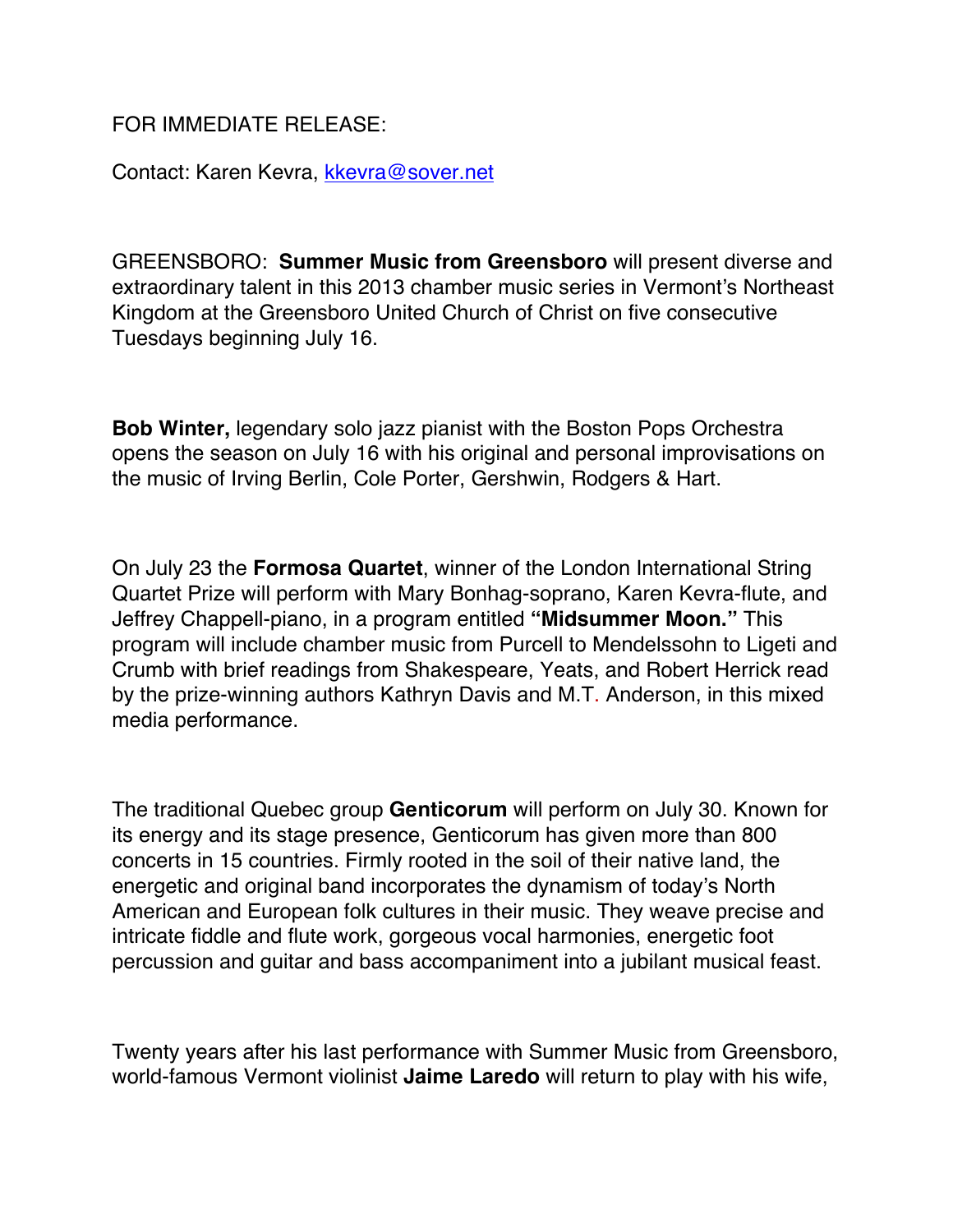FOR IMMEDIATE RELEASE:

Contact: Karen Kevra, kkevra@sover.net

GREENSBORO: **Summer Music from Greensboro** will present diverse and extraordinary talent in this 2013 chamber music series in Vermont's Northeast Kingdom at the Greensboro United Church of Christ on five consecutive Tuesdays beginning July 16.

**Bob Winter,** legendary solo jazz pianist with the Boston Pops Orchestra opens the season on July 16 with his original and personal improvisations on the music of Irving Berlin, Cole Porter, Gershwin, Rodgers & Hart.

On July 23 the **Formosa Quartet**, winner of the London International String Quartet Prize will perform with Mary Bonhag-soprano, Karen Kevra-flute, and Jeffrey Chappell-piano, in a program entitled **"Midsummer Moon."** This program will include chamber music from Purcell to Mendelssohn to Ligeti and Crumb with brief readings from Shakespeare, Yeats, and Robert Herrick read by the prize-winning authors Kathryn Davis and M.T. Anderson, in this mixed media performance.

The traditional Quebec group **Genticorum** will perform on July 30. Known for its energy and its stage presence, Genticorum has given more than 800 concerts in 15 countries. Firmly rooted in the soil of their native land, the energetic and original band incorporates the dynamism of today's North American and European folk cultures in their music. They weave precise and intricate fiddle and flute work, gorgeous vocal harmonies, energetic foot percussion and guitar and bass accompaniment into a jubilant musical feast.

Twenty years after his last performance with Summer Music from Greensboro, world-famous Vermont violinist **Jaime Laredo** will return to play with his wife,